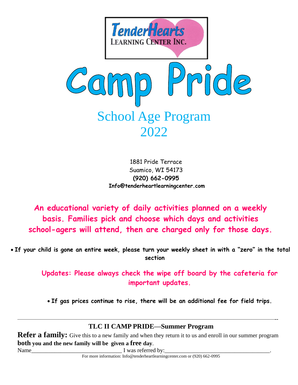

1881 Pride Terrace Suamico, WI 54173 **(920) 662-0995 Info@tenderheartlearningcenter.com**

**An educational variety of daily activities planned on a weekly basis. Families pick and choose which days and activities school-agers will attend, then are charged only for those days.** 

• **If your child is gone an entire week, please turn your weekly sheet in with a "zero" in the total section**

> **Updates: Please always check the wipe off board by the cafeteria for important updates.**

• **If gas prices continue to rise, there will be an additional fee for field trips.** 

#### ————————————————————————————————————————————-- **TLC II CAMP PRIDE—Summer Program**

**Refer a family:** Give this to a new family and when they return it to us and enroll in our summer program **both you and the new family will be given a free day**.

Name  $\blacksquare$  I was referred by:

For more information: Info@tenderheartlearningcenter.com or (920) 662-0995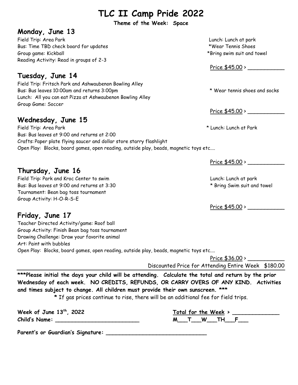**Theme of the Week: Space**

#### **Monday, June 13**

Field Trip: Area Park Lunch: Lunch at park Bus: Time TBD check board for updates \*Wear Tennis Shoes Group game: Kickball  $\bullet$ Reading Activity: Read in groups of 2-3

## **Tuesday, June 14**

Field Trip: Fritsch Park and Ashwaubenon Bowling Alley Bus: Bus leaves 10:00am and returns 3:00pm  $\bullet$  \* Wear tennis shoes and socks Lunch: All you can eat Pizza at Ashwaubenon Bowling Alley Group Game: Soccer

# **Wednesday, June 15**

Field Trip: Area Park \* Lunch: Lunch at Park Bus: Bus leaves at 9:00 and returns at 2:00 Crafts: Paper plate flying saucer and dollar store starry flashlight Open Play: Blocks, board games, open reading, outside play, beads, magnetic toys etc....

## **Thursday, June 16**

Field Trip: Park and Kroc Center to swim entity of the state of the current control of the Lunch: Lunch at park Bus: Bus leaves at 9:00 and returns at 3:30  $*$  Bring Swim suit and towel Tournament: Bean bag toss tournament Group Activity: H-O-R-S-E

Price \$45.00 > \_\_\_\_\_\_\_\_\_\_\_

Price \$45.00 > \_\_\_\_\_\_\_\_\_\_\_

Price \$45.00 > \_\_\_\_\_\_\_\_\_\_\_

Price \$45.00 >

# **Friday, June 17**

Teacher Directed Activity/game: Roof ball Group Activity: Finish Bean bag toss tournament Drawing Challenge: Draw your favorite animal Art: Paint with bubbles Open Play: Blocks, board games, open reading, outside play, beads, magnetic toys etc....

> Price \$36.00 > \_\_\_\_\_\_\_\_\_\_\_ Discounted Price for Attending Entire Week \$180.00

**\*\*\*Please initial the days your child will be attending. Calculate the total and return by the prior Wednesday of each week. NO CREDITS, REFUNDS, OR CARRY OVERS OF ANY KIND. Activities and times subject to change. All children must provide their own sunscreen. \*\*\*** 

**\*** If gas prices continue to rise, there will be an additional fee for field trips.

| Week of June 13 <sup>th</sup> , 2022 |  | Total for the Week |  |
|--------------------------------------|--|--------------------|--|
| <b>Child's Name:</b>                 |  |                    |  |

| 2022 |   |  | Total for the Week > |  |
|------|---|--|----------------------|--|
|      | M |  |                      |  |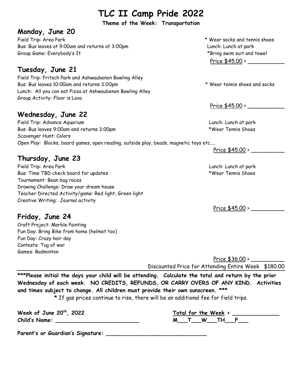**Theme of the Week: Transportation**

#### **Monday, June 20**

Field Trip: Area Park \* Wear socks and tennis shoes Bus: Bus leaves at 9:00am and returns at 3:00pm Lunch: Lunch at park Group Game: Everybody's It and towel the state of the state of the state  $*$ Bring swim suit and towel

## **Tuesday, June 21**

Field Trip: Fritsch Park and Ashwaubenon Bowling Alley Bus: Bus leaves 10:00am and returns 3:00pm \* Wear tennis shoes and socks Lunch: All you can eat Pizza at Ashwaubenon Bowling Alley Group Activity: Floor is Lava

## **Wednesday, June 22**

Field Trip: Advance Aquarium Lunch: Lunch at park Bus: Bus leaves 9:00am and returns 3:00pm \*Wear Tennis Shoes Scavenger Hunt: Colors Open Play: Blocks, board games, open reading, outside play, beads, magnetic toys etc....

## **Thursday, June 23**

Field Trip: Area Park Lunch: Lunch at park Bus: Time TBD check board for updates the state of the state of the state of the state of the state of the state of the state of the state of the state of the state of the state of the state of the state of the state of th Tournament: Bean bag races Drawing Challenge: Draw your dream house Teacher Directed Activity/game: Red light, Green light Creative Writing: Journal activity

## **Friday, June 24**

Craft Project: Marble Painting Fun Day: Bring Bike from home (helmet too) Fun Day: Crazy hair day Contests: Tug of war Games: Badminton

Price \$45.00 >

Price \$45.00 > \_\_\_\_\_\_\_\_\_\_\_

Price \$45.00 > \_\_\_\_\_\_\_\_\_\_

Price \$45.00 > \_\_\_\_\_\_\_\_\_\_

Price \$36.00 > Discounted Price for Attending Entire Week \$180.00

**\*\*\*Please initial the days your child will be attending. Calculate the total and return by the prior Wednesday of each week. NO CREDITS, REFUNDS, OR CARRY OVERS OF ANY KIND. Activities and times subject to change. All children must provide their own sunscreen. \*\*\* \*** If gas prices continue to rise, there will be an additional fee for field trips.

**Week of June 20 Child's Name: \_\_\_\_\_\_\_\_\_\_\_\_\_\_\_\_\_\_\_\_\_\_\_\_\_ M\_\_\_T\_\_\_W\_\_\_TH\_\_\_F\_\_\_**

| $th$ , 2022 | Total for the Week > |
|-------------|----------------------|
|             | W<br>тн              |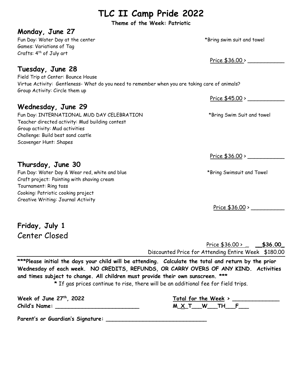**Theme of the Week: Patriotic**

#### **Monday, June 27**

Fun Day: Water Day at the center the state of the state of the state of the state  $*$ Bring swim suit and towel Games: Variations of Tag Crafts: 4<sup>th</sup> of July art

#### **Tuesday, June 28**

Field Trip at Center: Bounce House Virtue Activity: Gentleness- What do you need to remember when you are taking care of animals? Group Activity: Circle them up

## **Wednesday, June 29**

Fun Day: INTERNATIONAL MUD DAY CELEBRATION \*Bring Swim Suit and towel Teacher directed activity: Mud building contest Group activity: Mud activities Challenge: Build best sand castle Scavenger Hunt: Shapes

### **Thursday, June 30**

Fun Day: Water Day & Wear red, white and blue \*Bring Swimsuit and Towel Craft project: Painting with shaving cream Tournament: Ring toss Cooking: Patriotic cooking project Creative Writing: Journal Activity

Price \$36.00 >

Price \$45.00 > \_\_\_\_\_\_\_\_\_\_\_

Price \$36.00 > \_\_\_\_\_\_\_\_\_\_\_

Price \$36.00 > \_\_\_\_\_\_\_\_\_\_

**Friday, July 1** Center Closed

> Price \$36.00 > \_ **\_\_\$36.00\_** Discounted Price for Attending Entire Week \$180.00

**\*\*\*Please initial the days your child will be attending. Calculate the total and return by the prior Wednesday of each week. NO CREDITS, REFUNDS, OR CARRY OVERS OF ANY KIND. Activities and times subject to change. All children must provide their own sunscreen. \*\*\* \*** If gas prices continue to rise, there will be an additional fee for field trips.

**Week of June 27 Child's Name: \_\_\_\_\_\_\_\_\_\_\_\_\_\_\_\_\_\_\_\_\_\_\_\_\_ M\_X\_T\_\_\_W\_\_\_TH\_\_\_F\_\_\_**

| <sup>th</sup> , 2022 | Total for the Week > |
|----------------------|----------------------|
|                      | W.<br>M X T          |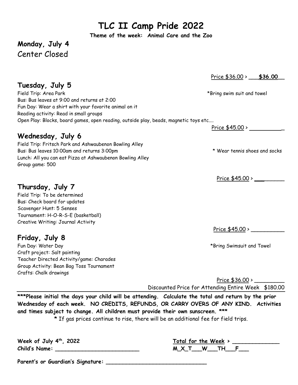**Theme of the week: Animal Care and the Zoo**

# **Monday, July 4** Center Closed

Price \$36.00 > \_\_\_**\$36.00**\_\_

Price \$45.00 >

Price \$45.00 >

Price \$45.00 > \_\_\_\_\_\_\_\_\_\_

Price \$36.00 > \_\_\_\_\_\_\_\_\_

Discounted Price for Attending Entire Week \$180.00

**\*\*\*Please initial the days your child will be attending. Calculate the total and return by the prior Wednesday of each week. NO CREDITS, REFUNDS, OR CARRY OVERS OF ANY KIND. Activities and times subject to change. All children must provide their own sunscreen. \*\*\*** 

**\*** If gas prices continue to rise, there will be an additional fee for field trips.

| Week of July 4th, 2022 |  |  |
|------------------------|--|--|
| <b>Child's Name:</b>   |  |  |

**Parent's or Guardian's Signature: \_\_\_\_\_\_\_\_\_\_\_\_\_\_\_\_\_\_\_\_\_\_\_\_\_\_\_\_\_\_** 

# **Tuesday, July 5**

Field Trip: Area Park \*Bring swim suit and towel Bus: Bus leaves at 9:00 and returns at 2:00 Fun Day: Wear a shirt with your favorite animal on it Reading activity: Read in small groups Open Play: Blocks, board games, open reading, outside play, beads, magnetic toys etc....

#### **Wednesday, July 6**

Field Trip: Fritsch Park and Ashwaubenon Bowling Alley Bus: Bus leaves 10:00am and returns 3:00pm \* Wear tennis shoes and socks Lunch: All you can eat Pizza at Ashwaubenon Bowling Alley Group game: 500

## **Thursday, July 7**

Field Trip: To be determined Bus: Check board for updates Scavenger Hunt: 5 Senses Tournament: H-O-R-S-E (basketball) Creative Writing: Journal Activity

# **Friday, July 8**

Fun Day: Water Day \*Bring Swimsuit and Towel Craft project: Salt painting Teacher Directed Activity/game: Charades Group Activity: Bean Bag Toss Tournament Crafts: Chalk drawings

> **th, 2022 Total for the Week > \_\_\_\_\_\_\_\_\_\_\_\_\_\_ Child's Name: \_\_\_\_\_\_\_\_\_\_\_\_\_\_\_\_\_\_\_\_\_\_\_\_\_ M\_X\_T\_\_\_W\_\_\_TH\_\_\_F\_\_\_**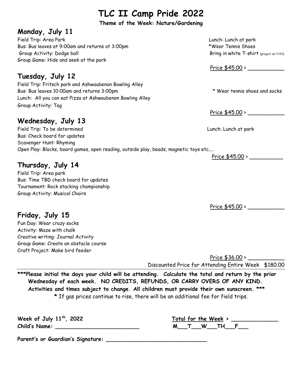**Theme of the Week: Nature/Gardening**

### **Monday, July 11**

Field Trip: Area Park Lunch: Lunch at park Bus: Bus leaves at 9:00am and returns at 3:00pm \*Wear Tennis Shoes Group Activity: Dodge ball and the Service of The Bring in white T-shirt (project on 7/23) Group Game: Hide and seek at the park

# **Tuesday, July 12**

Field Trip: Fritsch park and Ashwaubenon Bowling Alley Bus: Bus leaves 10:00am and returns 3:00pm \* Wear tennis shoes and socks Lunch: All you can eat Pizza at Ashwaubenon Bowling Alley Group Activity: Tag

# **Wednesday, July 13**

Field Trip: To be determined Lunch: Lunch at park Bus: Check board for updates Scavenger Hunt: Rhyming Open Play: Blocks, board games, open reading, outside play, beads, magnetic toys etc....

# **Thursday, July 14**

**Friday, July 15** Fun Day: Wear crazy socks Activity: Maze with chalk

Creative writing: Journal Activity Group Game: Create an obstacle course

Craft Project: Make bird feeder

Field Trip: Area park Bus: Time TBD check board for updates Tournament: Rock stacking championship Group Activity: Musical Chairs

Price  $$45.00 >$ 

Price \$45.00 >

Price \$45.00 > \_\_\_\_\_\_\_\_\_\_

Price \$45.00 > \_\_\_\_\_\_\_\_\_\_\_

Price \$36.00 > Discounted Price for Attending Entire Week \$180.00

**\*\*\*Please initial the days your child will be attending. Calculate the total and return by the prior Wednesday of each week. NO CREDITS, REFUNDS, OR CARRY OVERS OF ANY KIND. Activities and times subject to change. All children must provide their own sunscreen. \*\*\* \*** If gas prices continue to rise, there will be an additional fee for field trips.

**Week of July 11 th Child's Name: \_\_\_\_\_\_\_\_\_\_\_\_\_\_\_\_\_\_\_\_\_\_\_\_\_ M\_\_\_T\_\_\_W\_\_\_TH\_\_\_F\_\_\_**

| 2022 |   |   | Total for the Week > |  |
|------|---|---|----------------------|--|
|      | M | W | TU                   |  |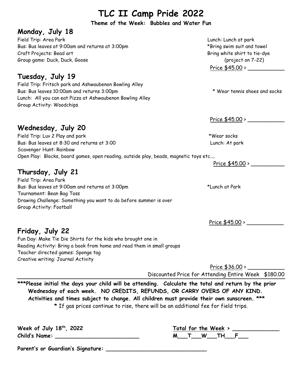**Theme of the Week: Bubbles and Water Fun**

#### **Monday, July 18**

Field Trip: Area Park Lunch: Lunch at park Bus: Bus leaves at 9:00am and returns at 3:00pm \*Bring swim suit and towel Craft Projects: Bead art **Bring white shirt to tie-dye** Group game: Duck, Duck, Goose (project on 7-22)

#### **Tuesday, July 19**

Field Trip: Fritsch park and Ashwaubenon Bowling Alley Bus: Bus leaves 10:00am and returns 3:00pm \* Wear tennis shoes and socks Lunch: All you can eat Pizza at Ashwaubenon Bowling Alley Group Activity: Woodchips

#### **Wednesday, July 20**

Field Trip: Luv 2 Play and park \*Wear socks Bus: Bus leaves at 8:30 and returns at 3:00 Lunch: At park Scavenger Hunt: Rainbow Open Play: Blocks, board games, open reading, outside play, beads, magnetic toys etc....

## **Thursday, July 21**

Field Trip: Area Park Bus: Bus leaves at 9:00am and returns at 3:00pm \*Lunch at Park Tournament: Bean Bag Toss Drawing Challenge: Something you want to do before summer is over Group Activity: Football

Price \$45.00 > \_\_\_\_\_\_\_\_\_\_\_

**Friday, July 22** Fun Day: Make Tie Die Shirts for the kids who brought one in Reading Activity: Bring a book from home and read them in small groups Teacher directed games: Sponge tag Creative writing: Journal Activity

> Price  $$36.00 > \_$ Discounted Price for Attending Entire Week \$180.00

**\*\*\*Please initial the days your child will be attending. Calculate the total and return by the prior Wednesday of each week. NO CREDITS, REFUNDS, OR CARRY OVERS OF ANY KIND. Activities and times subject to change. All children must provide their own sunscreen. \*\*\* \*** If gas prices continue to rise, there will be an additional fee for field trips.

| Week of July 18th, 2022                             | Total for the Week > |
|-----------------------------------------------------|----------------------|
| <b>Child's Name:</b>                                | M T W TH F           |
| $\sim$<br>$\sim$ $\sim$ $\sim$ $\sim$ $\sim$<br>. . |                      |

**Parent's or Guardian's Signature: \_\_\_\_\_\_\_\_\_\_\_\_\_\_\_\_\_\_\_\_\_\_\_\_\_\_\_\_\_\_** 

Price \$45.00 >

Price \$45.00 > \_\_\_\_\_\_\_\_\_\_\_

Price \$45.00 > \_\_\_\_\_\_\_\_\_\_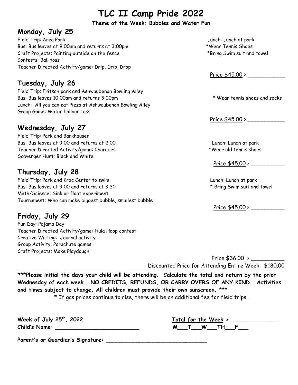#### **Theme of the Week: Bubbles and Water Fun**

#### **Monday, July 25**

Field Trip: Area Park Lunch: Lunch at park Bus: Bus leaves at 9:00am and returns at 3:00pm \*Wear Tennis Shoes Craft Projects: Painting outside on the fence \*Bring Swim suit and towel Contests: Ball toss Teacher Directed Activity/game: Drip, Drip, Drop

## **Tuesday, July 26**

Field Trip: Fritsch park and Ashwaubenon Bowling Alley Bus: Bus leaves 10:00am and returns 3:00pm \* Wear tennis shoes and socks Lunch: All you can eat Pizza at Ashwaubenon Bowling Alley Group Game: Water balloon toss

#### **Wednesday, July 27**

Field Trip: Park and Barkhausen Bus: Bus leaves at 9:00 and returns at 2:00 Lunch: Lunch at park Teacher Directed Activity/game: Charades \*Wear old tennis shoes Scavenger Hunt: Black and White

### **Thursday, July 28**

Field Trip: Park and Kroc Center to swim Lunch: Lunch at park Bus: Bus leaves at 9:00 and returns at 3:30  $*$  Bring Swim suit and towel Math/Science: Sink or float experiment Tournament: Who can make biggest bubble, smallest bubble

# **Friday, July 29**

Fun Day: Pajama Day Teacher Directed Activity/game: Hula Hoop contest Creative Writing: Journal activity Group Activity: Parachute games Craft Projects: Make Playdough

Price \$45.00 > \_\_\_\_\_\_\_\_\_\_\_

Price \$45.00 >

Price \$45.00 > \_\_\_\_\_\_\_\_\_\_

Price \$45.00 > \_\_\_\_\_\_\_\_\_\_

 Price \$36.00 > \_\_\_\_\_\_\_\_\_\_ Discounted Price for Attending Entire Week \$180.00

**\*\*\*Please initial the days your child will be attending. Calculate the total and return by the prior Wednesday of each week. NO CREDITS, REFUNDS, OR CARRY OVERS OF ANY KIND. Activities and times subject to change. All children must provide their own sunscreen. \*\*\*** 

**\*** If gas prices continue to rise, there will be an additional fee for field trips.

**Week of July 25 th Child's Name: \_\_\_\_\_\_\_\_\_\_\_\_\_\_\_\_\_\_\_\_\_\_\_\_\_ M\_\_\_T\_\_\_W\_\_\_TH\_\_\_F\_\_\_**

| 2022 |   |   | Total for the Week > |  |
|------|---|---|----------------------|--|
|      | M | W | тн                   |  |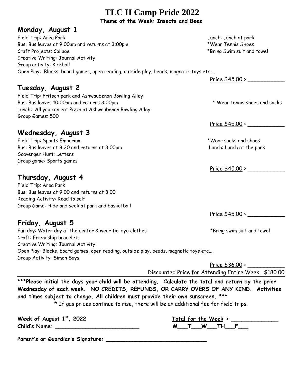**Theme of the Week: Insects and Bees**

#### **Monday, August 1**

Field Trip: Area Park Lunch: Lunch at park Bus: Bus leaves at 9:00am and returns at 3:00pm \*Wear Tennis Shoes Craft Projects: Collage \*Bring Swim suit and towel Creative Writing: Journal Activity Group activity: Kickball Open Play: Blocks, board games, open reading, outside play, beads, magnetic toys etc....

## **Tuesday, August 2**

Field Trip: Fritsch park and Ashwaubenon Bowling Alley Bus: Bus leaves 10:00am and returns 3:00pm  $*$  Wear tennis shoes and socks Lunch: All you can eat Pizza at Ashwaubenon Bowling Alley Group Games: 500

## **Wednesday, August 3**

Field Trip: Sports Emporium **the contract of the set of the set of the set of the set of the set of the set of the set of the set of the set of the set of the set of the set of the set of the set of the set of the set of t** Bus: Bus leaves at 8:30 and returns at 3:00pm Lunch: Lunch at the park Scavenger Hunt: Letters Group game: Sports games

## **Thursday, August 4**

Field Trip: Area Park Bus: Bus leaves at 9:00 and returns at 3:00 Reading Activity: Read to self Group Game: Hide and seek at park and basketball

# **Friday, August 5**

Fun day: Water day at the center & wear tie-dye clothes \*Bring swim suit and towel Craft: Friendship bracelets Creative Writing: Journal Activity Open Play: Blocks, board games, open reading, outside play, beads, magnetic toys etc.... Group Activity: Simon Says

Price \$36.00 > Discounted Price for Attending Entire Week \$180.00

**\*\*\*Please initial the days your child will be attending. Calculate the total and return by the prior Wednesday of each week. NO CREDITS, REFUNDS, OR CARRY OVERS OF ANY KIND. Activities and times subject to change. All children must provide their own sunscreen. \*\*\*** 

**\*** If gas prices continue to rise, there will be an additional fee for field trips.

| Week of August $1st$ , 2022 | Total for the Week |  |
|-----------------------------|--------------------|--|
| Child's Name:               | W                  |  |

| $st$ . 2022 | Total for the Week > |
|-------------|----------------------|
|             | M<br><b>W</b><br>тн  |

**Parent's or Guardian's Signature: \_\_\_\_\_\_\_\_\_\_\_\_\_\_\_\_\_\_\_\_\_\_\_\_\_\_\_\_\_\_** 

Price \$45.00 > \_\_\_\_\_\_\_\_\_\_\_

Price \$45.00 > \_\_\_\_\_\_\_\_\_\_\_

Price \$45.00 > \_\_\_\_\_\_\_\_\_\_\_

Price \$45.00 > \_\_\_\_\_\_\_\_\_\_\_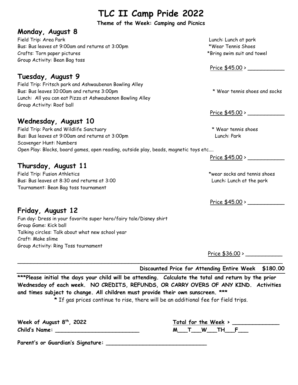**Theme of the Week: Camping and Picnics**

#### **Monday, August 8**

Field Trip: Area Park Lunch: Lunch at park Bus: Bus leaves at 9:00am and returns at 3:00pm \*Wear Tennis Shoes Crafts: Torn paper pictures the contraction of the set of the set of the set of the set of the set of the set of the set of the set of the set of the set of the set of the set of the set of the set of the set of the set of Group Activity: Bean Bag toss

### **Tuesday, August 9**

Field Trip: Fritsch park and Ashwaubenon Bowling Alley Bus: Bus leaves 10:00am and returns 3:00pm \* Wear tennis shoes and socks Lunch: All you can eat Pizza at Ashwaubenon Bowling Alley Group Activity: Roof ball

### **Wednesday, August 10**

Field Trip: Park and Wildlife Sanctuary \* Wear tennis shoes Bus: Bus leaves at 9:00am and returns at 3:00pm Lunch: Park Scavenger Hunt: Numbers Open Play: Blocks, board games, open reading, outside play, beads, magnetic toys etc....

### **Thursday, August 11**

Field Trip: Fusion Athletics \*wear socks and tennis shoes Bus: Bus leaves at 8:30 and returns at 3:00 Lunch: Lunch at the park Tournament: Bean Bag toss tournament

Price \$45.00 > \_\_\_\_\_\_\_\_\_\_\_

Price \$45.00 >

 $Price $45.00 > \_\_$ 

Price \$45.00 > \_\_\_\_\_\_\_\_\_\_\_

## **Friday, August 12**

Fun day: Dress in your favorite super hero/fairy tale/Disney shirt Group Game: Kick ball Talking circles: Talk about what new school year Craft: Make slime Group Activity: Ring Toss tournament

Price \$36.00 > \_\_\_\_\_\_\_\_\_\_\_

**Discounted Price for Attending Entire Week \$180.00**

**\*\*\*Please initial the days your child will be attending. Calculate the total and return by the prior Wednesday of each week. NO CREDITS, REFUNDS, OR CARRY OVERS OF ANY KIND. Activities and times subject to change. All children must provide their own sunscreen. \*\*\* \*** If gas prices continue to rise, there will be an additional fee for field trips.

\_\_\_\_\_\_\_\_\_\_\_\_\_\_\_\_\_\_\_\_\_\_\_\_\_\_\_\_\_\_\_\_\_\_\_\_\_\_\_\_\_\_\_\_\_\_\_\_\_\_\_\_\_\_\_\_\_\_\_\_\_\_\_\_\_\_\_\_\_\_\_\_\_\_\_\_\_\_\_

**Week of August 8 th , 2022 Total for the Week > \_\_\_\_\_\_\_\_\_\_\_\_\_\_ Child's Name: \_\_\_\_\_\_\_\_\_\_\_\_\_\_\_\_\_\_\_\_\_\_\_\_\_ M\_\_\_T\_\_\_W\_\_\_TH\_\_\_F\_\_\_**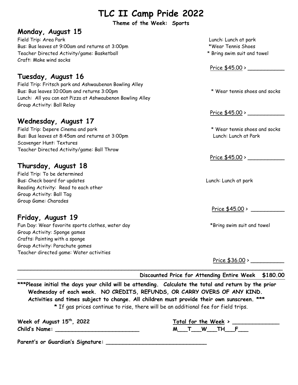**Theme of the Week: Sports**

#### **Monday, August 15**

Field Trip: Area Park Lunch: Lunch at park Bus: Bus leaves at 9:00am and returns at 3:00pm \*\* Yvear Tennis Shoes Teacher Directed Activity/game: Basketball \* Bring swim suit and towel Craft: Make wind socks

#### **Tuesday, August 16**

Field Trip: Fritsch park and Ashwaubenon Bowling Alley Bus: Bus leaves 10:00am and returns 3:00pm \* Wear tennis shoes and socks Lunch: All you can eat Pizza at Ashwaubenon Bowling Alley Group Activity: Ball Relay

#### **Wednesday, August 17**

Field Trip: Depere Cinema and park \* Wear tennis shoes and socks Bus: Bus leaves at 8:45am and returns at 3:00pm Lunch: Lunch at Park Scavenger Hunt: Textures Teacher Directed Activity/game: Ball Throw

#### **Thursday, August 18**

Field Trip: To be determined Bus: Check board for updates Lunch: Lunch at park Reading Activity: Read to each other Group Activity: Ball Tag Group Game: Charades

## **Friday, August 19**

Fun Day: Wear favorite sports clothes, water day example the state of the state of the state of the state of the state of the state of the state of the state of the state of the state of the state of the state of the state Group Activity: Sponge games Crafts: Painting with a sponge Group Activity: Parachute games Teacher directed game: Water activities

- 
- 

Price \$45.00 > \_\_\_\_\_\_\_\_\_\_\_

Price \$45.00 >

 $Price $45.00 >$ 

Price  $$45.00 >$ 

Price \$36.00 > \_\_\_\_\_\_\_\_\_\_

**Discounted Price for Attending Entire Week \$180.00**

**\*\*\*Please initial the days your child will be attending. Calculate the total and return by the prior Wednesday of each week. NO CREDITS, REFUNDS, OR CARRY OVERS OF ANY KIND. Activities and times subject to change. All children must provide their own sunscreen. \*\*\* \*** If gas prices continue to rise, there will be an additional fee for field trips.

\_\_\_\_\_\_\_\_\_\_\_\_\_\_\_\_\_\_\_\_\_\_\_\_\_\_\_\_\_\_\_\_\_\_\_\_\_\_\_\_\_\_\_\_\_\_\_\_\_\_\_\_\_\_\_\_\_\_\_\_\_\_\_\_\_\_\_\_\_\_\_\_\_\_\_\_\_\_\_

| Week of August 15 <sup>th</sup> , 2022 |  | Total for the Week $>$ |  |
|----------------------------------------|--|------------------------|--|
| <b>Child's Name:</b>                   |  | тн                     |  |

| $th$ , 2022 | Total for the Week |
|-------------|--------------------|
|             | W<br>ты            |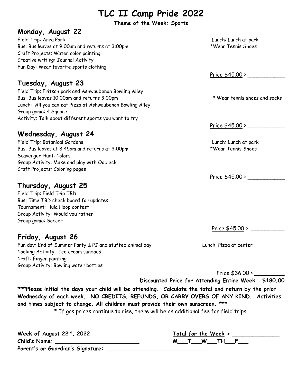**Theme of the Week: Sports**

#### **Monday, August 22**

Field Trip: Area Park Lunch: Lunch at park Bus: Bus leaves at 9:00am and returns at 3:00pm \*Wear Tennis Shoes Craft Projects: Water color painting Creative writing: Journal Activity Fun Day: Wear favorite sports clothing

#### **Tuesday, August 23**

Field Trip: Fritsch park and Ashwaubenon Bowling Alley Bus: Bus leaves 10:00am and returns 3:00pm  $*$  Wear tennis shoes and socks Lunch: All you can eat Pizza at Ashwaubenon Bowling Alley Group game: 4 Square Activity: Talk about different sports you want to try

#### **Wednesday, August 24**

Field Trip: Botanical Gardens Lunch: Lunch at park Bus: Bus leaves at 8:45am and returns at 3:00pm \*Wear Tennis Shoes Scavenger Hunt: Colors Group Activity: Make and play with Oobleck Craft Projects: Coloring pages

#### **Thursday, August 25**

Field Trip: Field Trip TBD Bus: Time TBD check board for updates Tournament: Hula Hoop contest Group Activity: Would you rather Group game: Soccer

#### **Friday, August 26**

Fun day: End of Summer Party & PJ and stuffed animal day Funch: Pizza at center Cooking Activity: Ice cream sundaes Craft: Finger painting Group Activity: Bowling water bottles

Price \$45.00 > \_\_\_\_\_\_\_\_\_\_\_

Price  $$45.00$  >  $\_$ 

Price \$45.00 > \_\_\_\_\_\_\_\_\_\_\_

Price  $$45.00 >$ 

Price \$36.00 > \_\_\_\_\_\_\_\_\_

**Discounted Price for Attending Entire Week \$180.00**

**\*\*\*Please initial the days your child will be attending. Calculate the total and return by the prior Wednesday of each week. NO CREDITS, REFUNDS, OR CARRY OVERS OF ANY KIND. Activities and times subject to change. All children must provide their own sunscreen. \*\*\***

**\*** If gas prices continue to rise, there will be an additional fee for field trips.

| Week of August $22^{nd}$ , 2022   | Total for the Week > |
|-----------------------------------|----------------------|
| Child's Name:                     | W TH F               |
| Parent's or Guardian's Signature: |                      |